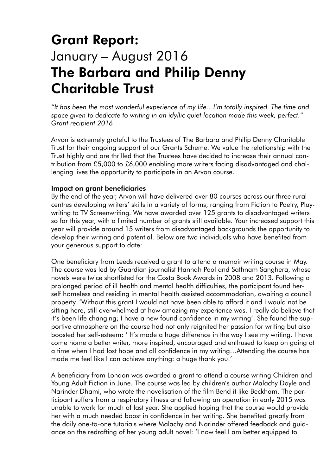## Grant Report: January – August 2016 The Barbara and Philip Denny Charitable Trust

*"It has been the most wonderful experience of my life…I'm totally inspired. The time and space given to dedicate to writing in an idyllic quiet location made this week, perfect." Grant recipient 2016*

Arvon is extremely grateful to the Trustees of The Barbara and Philip Denny Charitable Trust for their ongoing support of our Grants Scheme. We value the relationship with the Trust highly and are thrilled that the Trustees have decided to increase their annual contribution from £5,000 to £6,000 enabling more writers facing disadvantaged and challenging lives the opportunity to participate in an Arvon course.

## Impact on grant beneficiaries

By the end of the year, Arvon will have delivered over 80 courses across our three rural centres developing writers' skills in a variety of forms, ranging from Fiction to Poetry, Playwriting to TV Screenwriting. We have awarded over 125 grants to disadvantaged writers so far this year, with a limited number of grants still available. Your increased support this year will provide around 15 writers from disadvantaged backgrounds the opportunity to develop their writing and potential. Below are two individuals who have benefited from your generous support to date:

One beneficiary from Leeds received a grant to attend a memoir writing course in May. The course was led by Guardian journalist Hannah Pool and Sathnam Sanghera, whose novels were twice shortlisted for the Costa Book Awards in 2008 and 2013. Following a prolonged period of ill health and mental health difficulties, the participant found herself homeless and residing in mental health assisted accommodation, awaiting a council property. 'Without this grant I would not have been able to afford it and I would not be sitting here, still overwhelmed at how amazing my experience was. I really do believe that it's been life changing; I have a new found confidence in my writing'. She found the supportive atmosphere on the course had not only reignited her passion for writing but also boosted her self-esteem: ' It's made a huge difference in the way I see my writing. I have come home a better writer, more inspired, encouraged and enthused to keep on going at a time when I had lost hope and all confidence in my writing…Attending the course has made me feel like I can achieve anything: a huge thank you!'

A beneficiary from London was awarded a grant to attend a course writing Children and Young Adult Fiction in June. The course was led by children's author Malachy Doyle and Narinder Dhami, who wrote the novelisation of the film Bend it like Beckham. The participant suffers from a respiratory illness and following an operation in early 2015 was unable to work for much of last year. She applied hoping that the course would provide her with a much needed boost in confidence in her writing. She benefited greatly from the daily one-to-one tutorials where Malachy and Narinder offered feedback and guidance on the redrafting of her young adult novel: 'I now feel I am better equipped to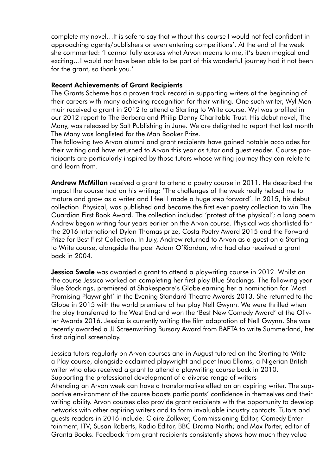complete my novel…It is safe to say that without this course I would not feel confident in approaching agents/publishers or even entering competitions'. At the end of the week she commented: 'I cannot fully express what Arvon means to me, it's been magical and exciting…I would not have been able to be part of this wonderful journey had it not been for the grant, so thank you.'

## Recent Achievements of Grant Recipients

The Grants Scheme has a proven track record in supporting writers at the beginning of their careers with many achieving recognition for their writing. One such writer, Wyl Menmuir received a grant in 2012 to attend a Starting to Write course. Wyl was profiled in our 2012 report to The Barbara and Philip Denny Charitable Trust. His debut novel, The Many, was released by Salt Publishing in June. We are delighted to report that last month The Many was longlisted for the Man Booker Prize.

The following two Arvon alumni and grant recipients have gained notable accolades for their writing and have returned to Arvon this year as tutor and guest reader. Course participants are particularly inspired by those tutors whose writing journey they can relate to and learn from.

Andrew McMillan received a grant to attend a poetry course in 2011. He described the impact the course had on his writing: 'The challenges of the week really helped me to mature and grow as a writer and I feel I made a huge step forward'. In 2015, his debut collection Physical, was published and became the first ever poetry collection to win The Guardian First Book Award. The collection included 'protest of the physical'; a long poem Andrew began writing four years earlier on the Arvon course. Physical was shortlisted for the 2016 International Dylan Thomas prize, Costa Poetry Award 2015 and the Forward Prize for Best First Collection. In July, Andrew returned to Arvon as a guest on a Starting to Write course, alongside the poet Adam O'Riordan, who had also received a grant back in 2004.

**Jessica Swale** was awarded a grant to attend a playwriting course in 2012. Whilst on the course Jessica worked on completing her first play Blue Stockings. The following year Blue Stockings, premiered at Shakespeare's Globe earning her a nomination for 'Most Promising Playwright' in the Evening Standard Theatre Awards 2013. She returned to the Globe in 2015 with the world premiere of her play Nell Gwynn. We were thrilled when the play transferred to the West End and won the 'Best New Comedy Award' at the Olivier Awards 2016. Jessica is currently writing the film adaptation of Nell Gwynn. She was recently awarded a JJ Screenwriting Bursary Award from BAFTA to write Summerland, her first original screenplay.

Jessica tutors regularly on Arvon courses and in August tutored on the Starting to Write a Play course, alongside acclaimed playwright and poet Inua Ellams, a Nigerian British writer who also received a grant to attend a playwriting course back in 2010. Supporting the professional development of a diverse range of writers Attending an Arvon week can have a transformative effect on an aspiring writer. The supportive environment of the course boosts participants' confidence in themselves and their writing ability. Arvon courses also provide grant recipients with the opportunity to develop networks with other aspiring writers and to form invaluable industry contacts. Tutors and guests readers in 2016 include: Claire Zolkwer, Commissioning Editor, Comedy Entertainment, ITV; Susan Roberts, Radio Editor, BBC Drama North; and Max Porter, editor of Granta Books. Feedback from grant recipients consistently shows how much they value